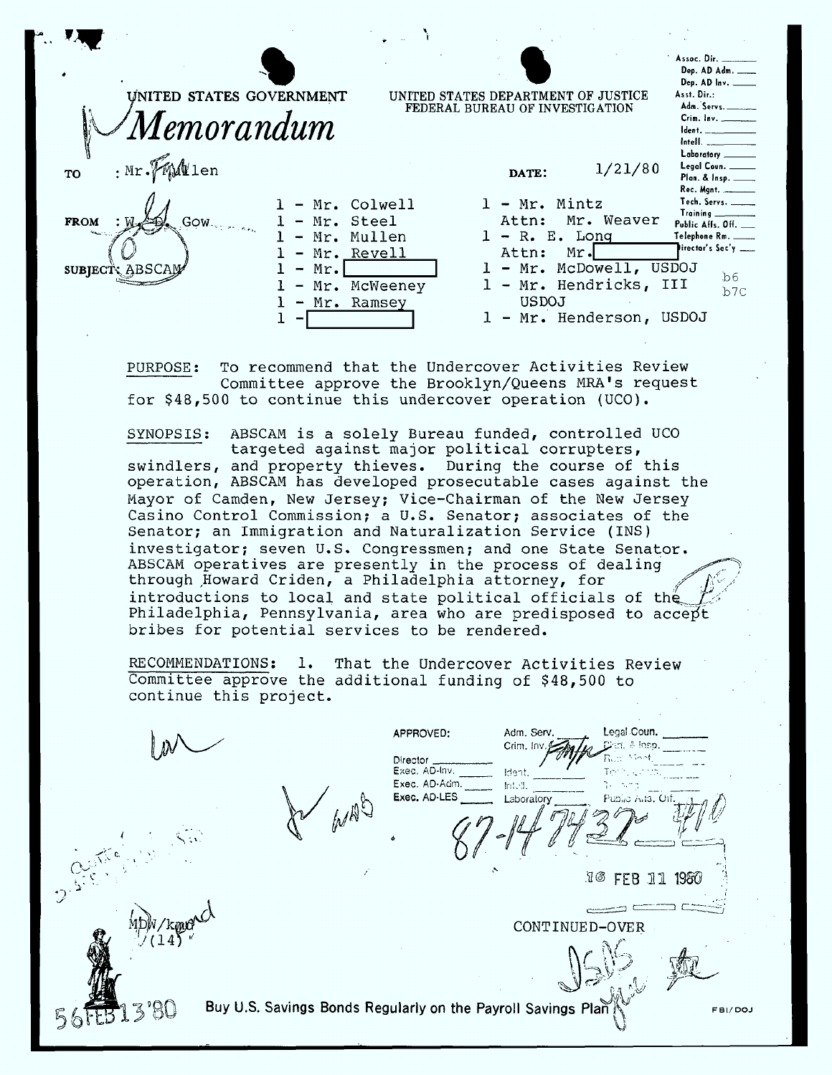| Assoc. Dir. ______<br>Dep. AD Adm.<br>Dep. AD Inv. _____<br>Asst. Dir.:<br>UNITED STATES GOVERNMENT<br>UNITED STATES DEPARTMENT OF JUSTICE<br>Adm. Servs.<br>FEDERAL BUREAU OF INVESTIGATION<br>Crim. Inv. ________<br>Memorandum<br>Ident.<br>Intell. ___________<br>Laboratory ______<br>$\cdot$ Mr. $\mathbb{W}\mathbb{W}$ len<br>Legal Coun. ____<br>1/21/80<br>TO<br>DATE:<br>Plan. & Insp. _____<br>Tech. Servs. ____<br>Mr. Mintz<br>Mr. Colwell<br>$1 -$<br>Training<br>Mr. Weaver<br>- Mr. Steel<br>Attn:<br><b>FROM</b><br>Gow<br>Public Affs. Off.<br>$1 - R$ . E. Long<br>Mr. Mullen<br>Telephone Rm. ____<br>$\overline{\phantom{a}}$<br>irector's Sec'y ___<br>Mr. Revell<br>Attn:<br>Mr.<br>$\overline{\phantom{m}}$<br>McDowell, USDOJ<br>Mr.<br>Mr.<br>$\mathbf{L}$ $-$<br><b>SUBJECT: ABSCAM</b><br>$\overline{\phantom{m}}$<br>b6<br>Mr. Hendricks, III<br>Mr. McWeeney<br>$\perp$ $-$<br>$\overline{\phantom{0}}$<br>b7C<br>USDOJ<br>Mr. Ramsey<br>$\blacksquare$<br>1 - Mr. Henderson, USDOJ |  |  |  |
|-------------------------------------------------------------------------------------------------------------------------------------------------------------------------------------------------------------------------------------------------------------------------------------------------------------------------------------------------------------------------------------------------------------------------------------------------------------------------------------------------------------------------------------------------------------------------------------------------------------------------------------------------------------------------------------------------------------------------------------------------------------------------------------------------------------------------------------------------------------------------------------------------------------------------------------------------------------------------------------------------------------------|--|--|--|
|                                                                                                                                                                                                                                                                                                                                                                                                                                                                                                                                                                                                                                                                                                                                                                                                                                                                                                                                                                                                                   |  |  |  |
|                                                                                                                                                                                                                                                                                                                                                                                                                                                                                                                                                                                                                                                                                                                                                                                                                                                                                                                                                                                                                   |  |  |  |
|                                                                                                                                                                                                                                                                                                                                                                                                                                                                                                                                                                                                                                                                                                                                                                                                                                                                                                                                                                                                                   |  |  |  |

To recommend that the Undercover Activities Review PURPOSE: Committee approve the Brooklyn/Queens MRA's request for  $$48,500$  to continue this undercover operation (UCO).

targeted against major political corrupters, swindlers, and property thieves. During the course of this operation, ABSCAM has developed prosecutable cases against the Mayor of Camden, New Jersey; Vice-Chairman of the New Jersey Casino Control Commission; a U.S. Senator; associates of the Senator; an Immigration and Naturalization Service (INS) investigator; seven U.S. Congressmen; and one State Senator. ABSCAM operatives are presently in the process of dealing introductions to local and state political officials of the through Howard Criden, a Philadelphia attorney, for Philadelphia, Pennsylvania, area who are predisposed to accept bribes for potential services to be rendered.

Committee approve the additional funding of \$48,500 to continue this project.

APPROVED: Legal Coun. Adm. Serv  $P$  $\mathcal{Q}$  $\mathcal{L}$  is a set of  $\mathcal{L}$  . In the set of  $\mathcal{L}$ Exec. AD-Inv. \_\_\_\_\_\_\_\_ Ident.<br>Exec. AD-Adm. \_\_\_\_\_\_ Intell. RMI1 Exec. AD-LES \_\_\_\_\_\_\_\_ Laboratory  $\mathbb{E}$ adorator  $\mathbb{E}$ adorator $\mathcal{G}$  $\mathcal{A}$  and  $\mathcal{A}$ f ' **~** مبر<br>ج ب  $\epsilon$  . .16 FEB 11 1980 **4**" k  $\frac{1}{\sqrt{2\pi}}$  $\lim_{\substack{v \to 0 \\ v \to 0}} \frac{v}{\sqrt{2\pi}}$ CONTINUED-OVER  $M^{(14)}$  ,  $M^{(14)}$  ,  $M^{(14)}$ **l** 92'f  $\frac{1}{2}$  $\mathbb{R}^{n}$  . Figure **-** F A .3 Buy U.S. Savings Bonds Regularly on the Payroll Savings P FBI/DOJ  $\mathcal{D}$  $\frac{1}{\sqrt{2}}$ '»\*92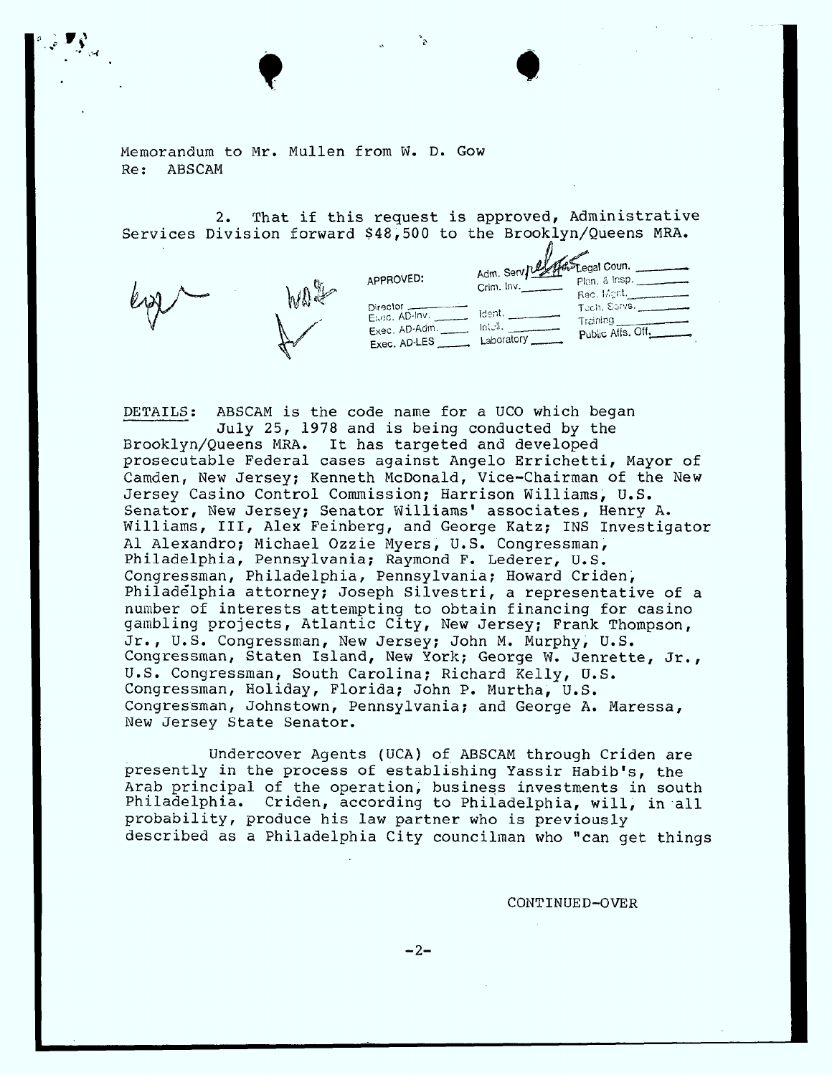Memorandum to Mr. Mullen from W. D. Gow Re: ABSCAM

, ;  $\blacksquare$ ,  $\blacksquare$ 

**Q** 

2. That if this request is approved, Administrative Services Division forward \$48,500 to the Brooklyn/Queens MRA.



DETAILS: ABSCAM is the code name for a UCO which began July 25, 1978 and is being conducted by the Brooklyn/Queens MRA. It has targeted and developed prosecutable Federal cases against Angelo Errichetti, Mayor of Camden, New Jersey; Kenneth McDonald, Vice-Chairman of the New Jersey Casino Control Commission; Harrison Williams, U.S. Senator, New Jersey; Senator Williams' associates, Henry A. Williams, III, Alex Feinberg, and George Katz; INS Investigator Al Alexandro; Michael Ozzie Myers, U.S. Congressman, Philadelphia, Pennsylvania; Raymond F. Lederer, U.S. Congressman, Philadelphia, Pennsylvania; Howard Criden, Philadelphia attorney; Joseph Silvestri, a representative of a number of interests attempting to obtain financing for casi $\,$ gambling projects, Atlantic City, New Jersey; Frank Thompso Jr., U.S. Congressman, New Jersey; John M. Murphy, U.S. Congressman, Staten Island, New York; George W. Jenrette, Jr., U.S. Congressman, South Carolina; Richard Kelly, U.S. Congressman, Holiday, Florida; John P. Murtha, U.S. Congressman, Johnstown, Pennsylvania; and George A. Maressa, New Jersey State Senator.

Undercover Agents (UCA) of ABSCAM through Criden are presently in the process of establishing Yassir Habib's, the Arab principal of the operation, business investments in south Philadelphia. Criden, according to Philadelphia, will, in all probability, produce his law partner who is previously described as a Philadelphia City councilman who "can get things

CONTINUED-OVER

 $-2-$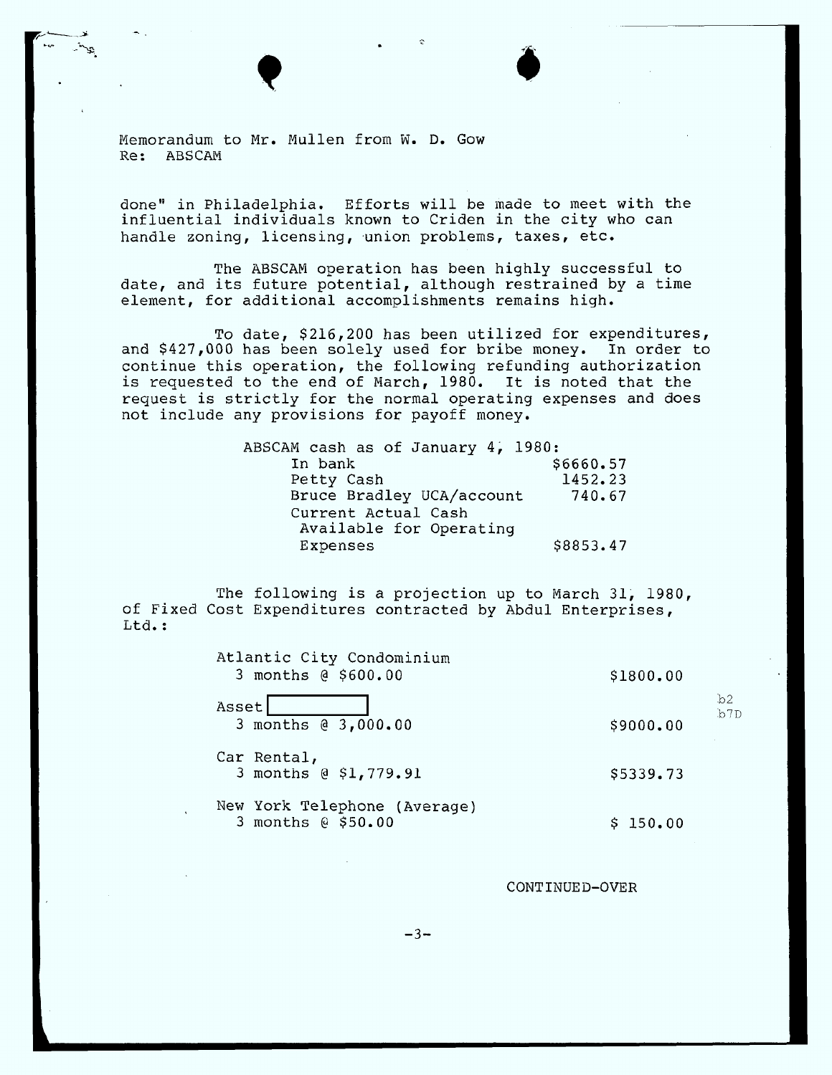Memorandum to Mr. Mullen from W. D. Gow Re: ABSCAM

...,- \_ X. V u 1. **<\_**

//IgV\_!-, **-.**

done" in Philadelphia. Efforts will be made to meet with the influential individuals known to Criden in the city who can handle zoning, licensing, union problems, taxes, etc.

The ABSCAM operation has been highly successful to date, and its future potential, although restrained by a time element, for additional accomplishments remains **high.**

To date, \$216,200 has been utilized for expenditures, and \$427,000 **has** been solely used for bribe money. In order to continue **this** operation, the following refunding authorization **is** requested to the end of March, 1980. It is noted that the request **is** strictly for the normal operating expenses and **does** not include any provisions for payoff money.

| ABSCAM cash as of January 4, 1980: |
|------------------------------------|
| \$6660.57                          |
| 1452.23                            |
| 740.67                             |
|                                    |
|                                    |
| \$8853.47                          |
|                                    |

The following **is a** projection up to March 31, 1980, of **Fixed** Cost Expenditures contracted by Abdul Enterprises, Ltd.:

| Atlantic City Condominium<br>3 months @ \$600.00   | \$1800.00 |            |
|----------------------------------------------------|-----------|------------|
| Asset<br>3 months @ 3,000.00                       | \$9000.00 | b2.<br>b7D |
| Car Rental,<br>3 months @ \$1,779.91               | \$5339.73 |            |
| New York Telephone (Average)<br>3 months @ \$50.00 | \$150.00  |            |

CONTINUED-OVER

 $-3-$